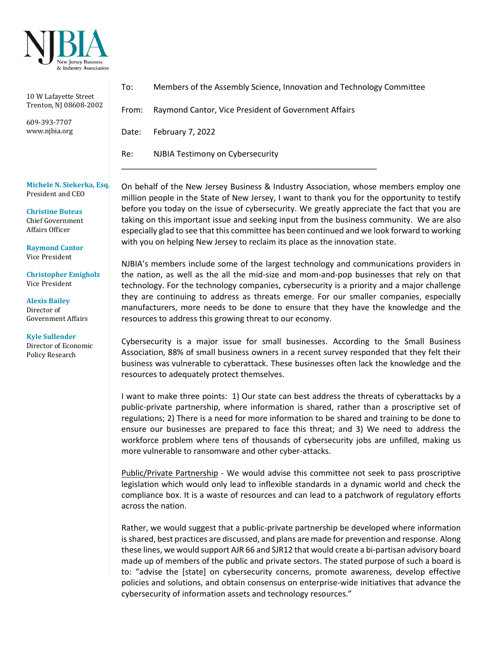

| 10 W Lafayette Street<br>Trenton, NJ 08608-2002<br>609-393-7707<br>www.njbia.org | To:   | Members of the Assembly Science, Innovation and Technology Committee |
|----------------------------------------------------------------------------------|-------|----------------------------------------------------------------------|
|                                                                                  | From: | Raymond Cantor, Vice President of Government Affairs                 |
|                                                                                  | Date: | February 7, 2022                                                     |
|                                                                                  | Re:   | NJBIA Testimony on Cybersecurity                                     |
| $\mathbf{M}$ is the set of $\mathbf{M}$ is the set of $\mathbf{M}$               |       |                                                                      |

**Michele N. Siekerka, Esq.** President and CEO

**Christine Buteas** Chief Government Affairs Officer

**Raymond Cantor** Vice President

**Christopher Emigholz** Vice President

**Alexis Bailey**  Director of Government Affairs

**Kyle Sullender** Director of Economic Policy Research

On behalf of the New Jersey Business & Industry Association, whose members employ one million people in the State of New Jersey, I want to thank you for the opportunity to testify before you today on the issue of cybersecurity. We greatly appreciate the fact that you are taking on this important issue and seeking input from the business community. We are also especially glad to see that this committee has been continued and we look forward to working with you on helping New Jersey to reclaim its place as the innovation state.

NJBIA's members include some of the largest technology and communications providers in the nation, as well as the all the mid-size and mom-and-pop businesses that rely on that technology. For the technology companies, cybersecurity is a priority and a major challenge they are continuing to address as threats emerge. For our smaller companies, especially manufacturers, more needs to be done to ensure that they have the knowledge and the resources to address this growing threat to our economy.

Cybersecurity is a major issue for small businesses. According to the Small Business Association, 88% of small business owners in a recent survey responded that they felt their business was vulnerable to cyberattack. These businesses often lack the knowledge and the resources to adequately protect themselves.

I want to make three points: 1) Our state can best address the threats of cyberattacks by a public-private partnership, where information is shared, rather than a proscriptive set of regulations; 2) There is a need for more information to be shared and training to be done to ensure our businesses are prepared to face this threat; and 3) We need to address the workforce problem where tens of thousands of cybersecurity jobs are unfilled, making us more vulnerable to ransomware and other cyber-attacks.

Public/Private Partnership - We would advise this committee not seek to pass proscriptive legislation which would only lead to inflexible standards in a dynamic world and check the compliance box. It is a waste of resources and can lead to a patchwork of regulatory efforts across the nation.

Rather, we would suggest that a public-private partnership be developed where information is shared, best practices are discussed, and plans are made for prevention and response. Along these lines, we would support AJR 66 and SJR12 that would create a bi-partisan advisory board made up of members of the public and private sectors. The stated purpose of such a board is to: "advise the [state] on cybersecurity concerns, promote awareness, develop effective policies and solutions, and obtain consensus on enterprise-wide initiatives that advance the cybersecurity of information assets and technology resources."